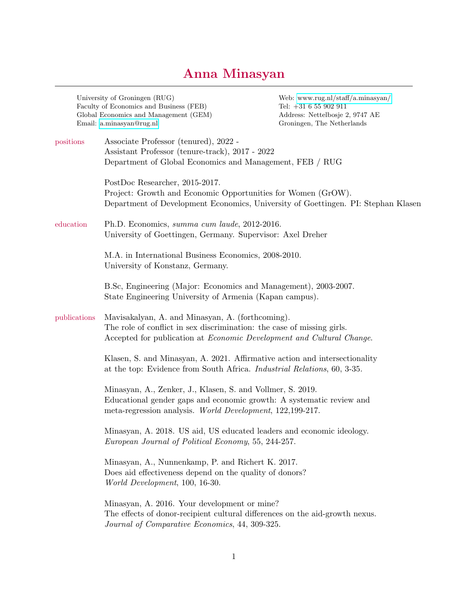## Anna Minasyan

|              | University of Groningen (RUG)<br>Faculty of Economics and Business (FEB)<br>Global Economics and Management (GEM)<br>Email: a.minasyan@rug.nl                                                               | Web: www.rug.nl/staff/a.minasyan/<br>Tel: $+31$ 6 55 902 911<br>Address: Nettelbosje 2, 9747 AE<br>Groningen, The Netherlands |
|--------------|-------------------------------------------------------------------------------------------------------------------------------------------------------------------------------------------------------------|-------------------------------------------------------------------------------------------------------------------------------|
| positions    | Associate Professor (tenured), 2022 -<br>Assistant Professor (tenure-track), 2017 - 2022<br>Department of Global Economics and Management, FEB / RUG                                                        |                                                                                                                               |
|              | PostDoc Researcher, 2015-2017.<br>Project: Growth and Economic Opportunities for Women (GrOW).                                                                                                              | Department of Development Economics, University of Goettingen. PI: Stephan Klasen                                             |
| education    | Ph.D. Economics, summa cum laude, 2012-2016.<br>University of Goettingen, Germany. Supervisor: Axel Dreher                                                                                                  |                                                                                                                               |
|              | M.A. in International Business Economics, 2008-2010.<br>University of Konstanz, Germany.                                                                                                                    |                                                                                                                               |
|              | B.Sc, Engineering (Major: Economics and Management), 2003-2007.<br>State Engineering University of Armenia (Kapan campus).                                                                                  |                                                                                                                               |
| publications | Mavisakalyan, A. and Minasyan, A. (forthcoming).<br>The role of conflict in sex discrimination: the case of missing girls.<br>Accepted for publication at <i>Economic Development and Cultural Change</i> . |                                                                                                                               |
|              | Klasen, S. and Minasyan, A. 2021. Affirmative action and intersectionality<br>at the top: Evidence from South Africa. Industrial Relations, 60, 3-35.                                                       |                                                                                                                               |
|              | Minasyan, A., Zenker, J., Klasen, S. and Vollmer, S. 2019.<br>Educational gender gaps and economic growth: A systematic review and<br>meta-regression analysis. World Development, 122,199-217.             |                                                                                                                               |
|              | Minasyan, A. 2018. US aid, US educated leaders and economic ideology.<br>European Journal of Political Economy, 55, 244-257.                                                                                |                                                                                                                               |
|              | Minasyan, A., Nunnenkamp, P. and Richert K. 2017.<br>Does aid effectiveness depend on the quality of donors?<br>World Development, 100, 16-30.                                                              |                                                                                                                               |
|              | Minasyan, A. 2016. Your development or mine?<br>The effects of donor-recipient cultural differences on the aid-growth nexus.<br>Journal of Comparative Economics, 44, 309-325.                              |                                                                                                                               |
|              |                                                                                                                                                                                                             |                                                                                                                               |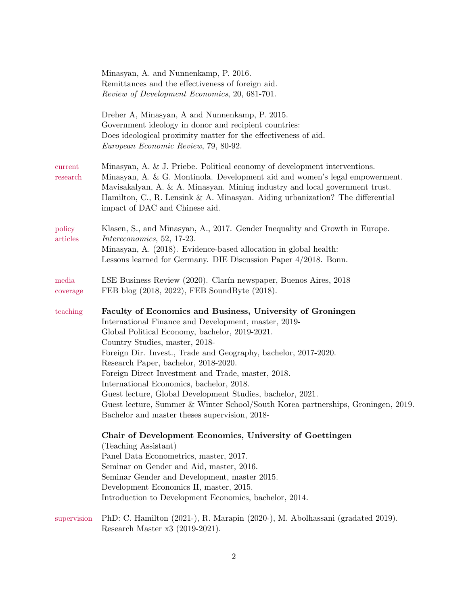|                     | Minasyan, A. and Nunnenkamp, P. 2016.<br>Remittances and the effectiveness of foreign aid.<br>Review of Development Economics, 20, 681-701.                                                                                                                                                                                                                                                                                                                                                                                                                                                                            |
|---------------------|------------------------------------------------------------------------------------------------------------------------------------------------------------------------------------------------------------------------------------------------------------------------------------------------------------------------------------------------------------------------------------------------------------------------------------------------------------------------------------------------------------------------------------------------------------------------------------------------------------------------|
|                     | Dreher A, Minasyan, A and Nunnenkamp, P. 2015.<br>Government ideology in donor and recipient countries:<br>Does ideological proximity matter for the effectiveness of aid.<br>European Economic Review, 79, 80-92.                                                                                                                                                                                                                                                                                                                                                                                                     |
| current<br>research | Minasyan, A. & J. Priebe. Political economy of development interventions.<br>Minasyan, A. & G. Montinola. Development aid and women's legal empowerment.<br>Mavisakalyan, A. & A. Minasyan. Mining industry and local government trust.<br>Hamilton, C., R. Lensink & A. Minasyan. Aiding urbanization? The differential<br>impact of DAC and Chinese aid.                                                                                                                                                                                                                                                             |
| policy<br>articles  | Klasen, S., and Minasyan, A., 2017. Gender Inequality and Growth in Europe.<br>Intereconomics, 52, 17-23.<br>Minasyan, A. (2018). Evidence-based allocation in global health:<br>Lessons learned for Germany. DIE Discussion Paper 4/2018. Bonn.                                                                                                                                                                                                                                                                                                                                                                       |
| media<br>coverage   | LSE Business Review (2020). Clarín newspaper, Buenos Aires, 2018<br>FEB blog (2018, 2022), FEB SoundByte (2018).                                                                                                                                                                                                                                                                                                                                                                                                                                                                                                       |
| teaching            | Faculty of Economics and Business, University of Groningen<br>International Finance and Development, master, 2019-<br>Global Political Economy, bachelor, 2019-2021.<br>Country Studies, master, 2018-<br>Foreign Dir. Invest., Trade and Geography, bachelor, 2017-2020.<br>Research Paper, bachelor, 2018-2020.<br>Foreign Direct Investment and Trade, master, 2018.<br>International Economics, bachelor, 2018.<br>Guest lecture, Global Development Studies, bachelor, 2021.<br>Guest lecture, Summer & Winter School/South Korea partnerships, Groningen, 2019.<br>Bachelor and master theses supervision, 2018- |
|                     | Chair of Development Economics, University of Goettingen<br>(Teaching Assistant)<br>Panel Data Econometrics, master, 2017.<br>Seminar on Gender and Aid, master, 2016.<br>Seminar Gender and Development, master 2015.<br>Development Economics II, master, 2015.<br>Introduction to Development Economics, bachelor, 2014.                                                                                                                                                                                                                                                                                            |
| supervision         | PhD: C. Hamilton (2021-), R. Marapin (2020-), M. Abolhassani (gradated 2019).<br>Research Master x3 (2019-2021).                                                                                                                                                                                                                                                                                                                                                                                                                                                                                                       |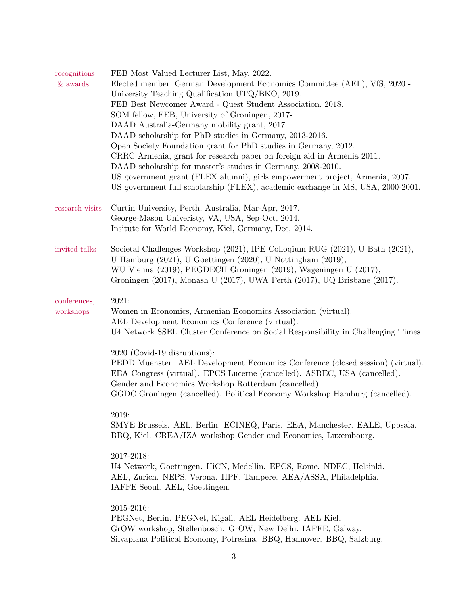| recognitions<br>$\&$ awards | FEB Most Valued Lecturer List, May, 2022.<br>Elected member, German Development Economics Committee (AEL), VfS, 2020 -<br>University Teaching Qualification UTQ/BKO, 2019.<br>FEB Best Newcomer Award - Quest Student Association, 2018.<br>SOM fellow, FEB, University of Groningen, 2017-<br>DAAD Australia-Germany mobility grant, 2017.<br>DAAD scholarship for PhD studies in Germany, 2013-2016.<br>Open Society Foundation grant for PhD studies in Germany, 2012.<br>CRRC Armenia, grant for research paper on foreign aid in Armenia 2011.<br>DAAD scholarship for master's studies in Germany, 2008-2010.<br>US government grant (FLEX alumni), girls empowerment project, Armenia, 2007.<br>US government full scholarship (FLEX), academic exchange in MS, USA, 2000-2001. |
|-----------------------------|----------------------------------------------------------------------------------------------------------------------------------------------------------------------------------------------------------------------------------------------------------------------------------------------------------------------------------------------------------------------------------------------------------------------------------------------------------------------------------------------------------------------------------------------------------------------------------------------------------------------------------------------------------------------------------------------------------------------------------------------------------------------------------------|
| research visits             | Curtin University, Perth, Australia, Mar-Apr, 2017.<br>George-Mason Univeristy, VA, USA, Sep-Oct, 2014.<br>Insitute for World Economy, Kiel, Germany, Dec, 2014.                                                                                                                                                                                                                                                                                                                                                                                                                                                                                                                                                                                                                       |
| invited talks               | Societal Challenges Workshop (2021), IPE Colloqium RUG (2021), U Bath (2021),<br>U Hamburg $(2021)$ , U Goettingen $(2020)$ , U Nottingham $(2019)$ ,<br>WU Vienna (2019), PEGDECH Groningen (2019), Wageningen U (2017),<br>Groningen (2017), Monash U (2017), UWA Perth (2017), UQ Brisbane (2017).                                                                                                                                                                                                                                                                                                                                                                                                                                                                                  |
| conferences,<br>workshops   | 2021:<br>Women in Economics, Armenian Economics Association (virtual).<br>AEL Development Economics Conference (virtual).<br>U4 Network SSEL Cluster Conference on Social Responsibility in Challenging Times                                                                                                                                                                                                                                                                                                                                                                                                                                                                                                                                                                          |
|                             | 2020 (Covid-19 disruptions):<br>PEDD Muenster. AEL Development Economics Conference (closed session) (virtual).<br>EEA Congress (virtual). EPCS Lucerne (cancelled). ASREC, USA (cancelled).<br>Gender and Economics Workshop Rotterdam (cancelled).<br>GGDC Groningen (cancelled). Political Economy Workshop Hamburg (cancelled).                                                                                                                                                                                                                                                                                                                                                                                                                                                    |
|                             | 2019:<br>SMYE Brussels. AEL, Berlin. ECINEQ, Paris. EEA, Manchester. EALE, Uppsala.<br>BBQ, Kiel. CREA/IZA workshop Gender and Economics, Luxembourg.                                                                                                                                                                                                                                                                                                                                                                                                                                                                                                                                                                                                                                  |
|                             | 2017-2018:<br>U4 Network, Goettingen. HiCN, Medellin. EPCS, Rome. NDEC, Helsinki.<br>AEL, Zurich. NEPS, Verona. IIPF, Tampere. AEA/ASSA, Philadelphia.<br>IAFFE Seoul. AEL, Goettingen.                                                                                                                                                                                                                                                                                                                                                                                                                                                                                                                                                                                                |
|                             | 2015-2016:<br>PEGNet, Berlin. PEGNet, Kigali. AEL Heidelberg. AEL Kiel.<br>GrOW workshop, Stellenbosch. GrOW, New Delhi. IAFFE, Galway.<br>Silvaplana Political Economy, Potresina. BBQ, Hannover. BBQ, Salzburg.                                                                                                                                                                                                                                                                                                                                                                                                                                                                                                                                                                      |
|                             |                                                                                                                                                                                                                                                                                                                                                                                                                                                                                                                                                                                                                                                                                                                                                                                        |